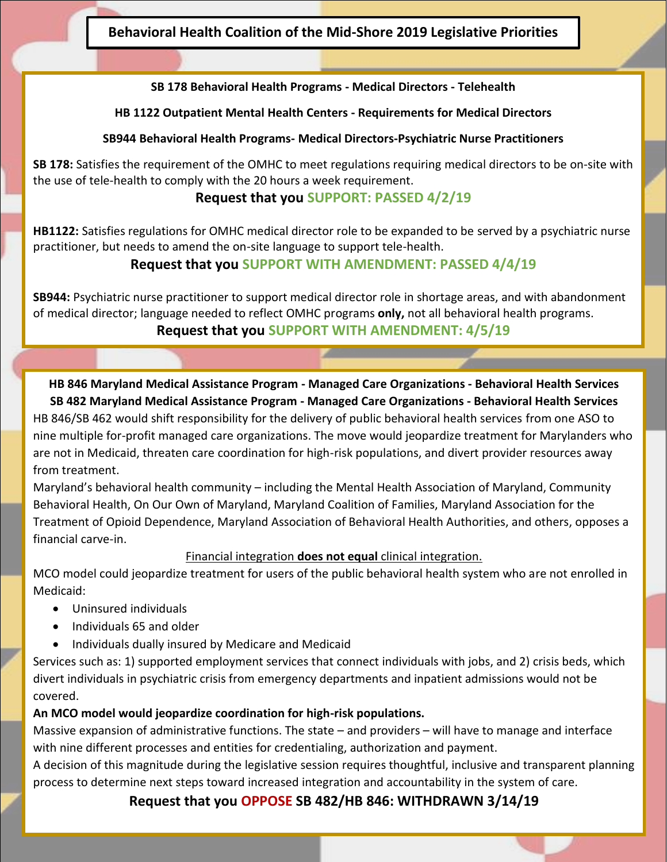**Behavioral Health Coalition of the Mid-Shore 2019 Legislative Priorities**

#### **SB 178 Behavioral Health Programs - Medical Directors - Telehealth**

#### **HB 1122 Outpatient Mental Health Centers - Requirements for Medical Directors**

#### **SB944 Behavioral Health Programs- Medical Directors-Psychiatric Nurse Practitioners**

**SB 178:** Satisfies the requirement of the OMHC to meet regulations requiring medical directors to be on-site with the use of tele-health to comply with the 20 hours a week requirement.

### **Request that you SUPPORT: PASSED 4/2/19**

**HB1122:** Satisfies regulations for OMHC medical director role to be expanded to be served by a psychiatric nurse practitioner, but needs to amend the on-site language to support tele-health.

# **Request that you SUPPORT WITH AMENDMENT: PASSED 4/4/19**

**SB944:** Psychiatric nurse practitioner to support medical director role in shortage areas, and with abandonment of medical director; language needed to reflect OMHC programs **only,** not all behavioral health programs.

**Request that you SUPPORT WITH AMENDMENT: 4/5/19**

**HB 846 Maryland Medical Assistance Program - Managed Care Organizations - Behavioral Health Services SB 482 Maryland Medical Assistance Program - Managed Care Organizations - Behavioral Health Services** HB 846/SB 462 would shift responsibility for the delivery of public behavioral health services from one ASO to nine multiple for-profit managed care organizations. The move would jeopardize treatment for Marylanders who are not in Medicaid, threaten care coordination for high-risk populations, and divert provider resources away from treatment.

Maryland's behavioral health community – including the Mental Health Association of Maryland, Community Behavioral Health, On Our Own of Maryland, Maryland Coalition of Families, Maryland Association for the Treatment of Opioid Dependence, Maryland Association of Behavioral Health Authorities, and others, opposes a financial carve-in.

#### Financial integration **does not equal** clinical integration.

MCO model could jeopardize treatment for users of the public behavioral health system who are not enrolled in Medicaid:

- Uninsured individuals
- Individuals 65 and older
- Individuals dually insured by Medicare and Medicaid

Services such as: 1) supported employment services that connect individuals with jobs, and 2) crisis beds, which divert individuals in psychiatric crisis from emergency departments and inpatient admissions would not be covered.

#### **An MCO model would jeopardize coordination for high-risk populations.**

Massive expansion of administrative functions. The state – and providers – will have to manage and interface with nine different processes and entities for credentialing, authorization and payment.

A decision of this magnitude during the legislative session requires thoughtful, inclusive and transparent planning process to determine next steps toward increased integration and accountability in the system of care.

**Request that you OPPOSE SB 482/HB 846: WITHDRAWN 3/14/19**